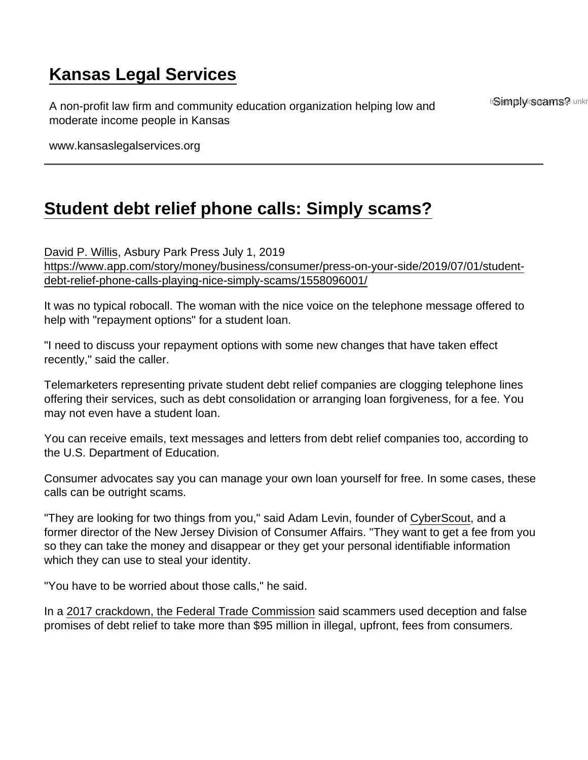# [Kansas Legal Services](https://www.kansaslegalservices.org/)

A non-profit law firm and community education organization helping low and moderate income people in Kansas

InSignapoly scoden spe unkn

www.kansaslegalservices.org

# [Student debt relief phone calls: Simply scams?](https://www.kansaslegalservices.org/node/2250/student-debt-relief-phone-calls-simply-scams)

[David P. Willis,](http://www.app.com/staff/11711/david-p-willis/) Asbury Park Press July 1, 2019 [https://www.app.com/story/money/business/consumer/press-on-your-side/2019/07/01/student](https://www.app.com/story/money/business/consumer/press-on-your-side/2019/07/01/student-debt-relief-phone-calls-playing-nice-simply-scams/1558096001/)[debt-relief-phone-calls-playing-nice-simply-scams/1558096001/](https://www.app.com/story/money/business/consumer/press-on-your-side/2019/07/01/student-debt-relief-phone-calls-playing-nice-simply-scams/1558096001/)

It was no typical robocall. The woman with the nice voice on the telephone message offered to help with "repayment options" for a student loan.

"I need to discuss your repayment options with some new changes that have taken effect recently," said the caller.

Telemarketers representing private student debt relief companies are clogging telephone lines offering their services, such as debt consolidation or arranging loan forgiveness, for a fee. You may not even have a student loan.

You can receive emails, text messages and letters from debt relief companies too, according to the U.S. Department of Education.

Consumer advocates say you can manage your own loan yourself for free. In some cases, these calls can be outright scams.

"They are looking for two things from you," said Adam Levin, founder of [CyberScout](https://cyberscout.com/), and a former director of the New Jersey Division of Consumer Affairs. "They want to get a fee from you so they can take the money and disappear or they get your personal identifiable information which they can use to steal your identity.

"You have to be worried about those calls," he said.

In a [2017 crackdown, the Federal Trade Commission](https://www.app.com/story/money/2017/10/13/student-loan-forgiveness-scams/761206001/) said scammers used deception and false promises of debt relief to take more than \$95 million in illegal, upfront, fees from consumers.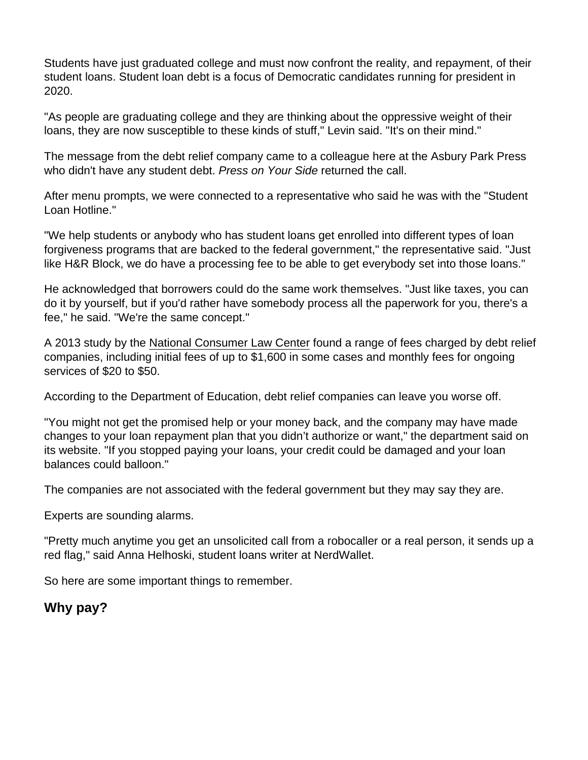Students have just graduated college and must now confront the reality, and repayment, of their student loans. Student loan debt is a focus of Democratic candidates running for president in 2020.

"As people are graduating college and they are thinking about the oppressive weight of their loans, they are now susceptible to these kinds of stuff," Levin said. "It's on their mind."

The message from the debt relief company came to a colleague here at the Asbury Park Press who didn't have any student debt. Press on Your Side returned the call.

After menu prompts, we were connected to a representative who said he was with the "Student Loan Hotline."

"We help students or anybody who has student loans get enrolled into different types of loan forgiveness programs that are backed to the federal government," the representative said. "Just like H&R Block, we do have a processing fee to be able to get everybody set into those loans."

He acknowledged that borrowers could do the same work themselves. "Just like taxes, you can do it by yourself, but if you'd rather have somebody process all the paperwork for you, there's a fee," he said. "We're the same concept."

A 2013 study by the [National Consumer Law Center](https://www.nclc.org/) found a range of fees charged by debt relief companies, including initial fees of up to \$1,600 in some cases and monthly fees for ongoing services of \$20 to \$50.

According to the Department of Education, debt relief companies can leave you worse off.

"You might not get the promised help or your money back, and the company may have made changes to your loan repayment plan that you didn't authorize or want," the department said on its website. "If you stopped paying your loans, your credit could be damaged and your loan balances could balloon."

The companies are not associated with the federal government but they may say they are.

Experts are sounding alarms.

"Pretty much anytime you get an unsolicited call from a robocaller or a real person, it sends up a red flag," said Anna Helhoski, student loans writer at NerdWallet.

So here are some important things to remember.

Why pay?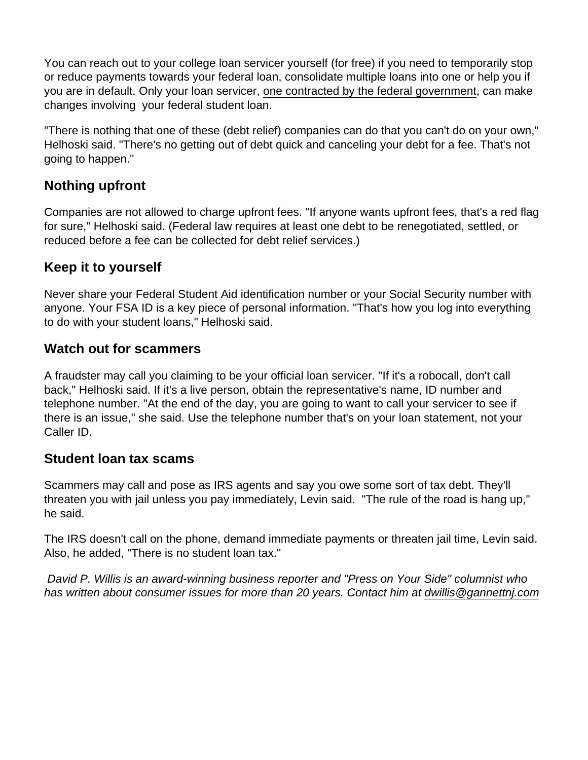You can reach out to your college loan servicer yourself (for free) if you need to temporarily stop or reduce payments towards your federal loan, consolidate multiple loans into one or help you if you are in default. Only your loan servicer, [one contracted by the federal government](https://studentloans.gov/myDirectLoan/additionalInformation.action), can make changes involving your federal student loan.

"There is nothing that one of these (debt relief) companies can do that you can't do on your own," Helhoski said. "There's no getting out of debt quick and canceling your debt for a fee. That's not going to happen."

## Nothing upfront

Companies are not allowed to charge upfront fees. "If anyone wants upfront fees, that's a red flag for sure," Helhoski said. (Federal law requires at least one debt to be renegotiated, settled, or reduced before a fee can be collected for debt relief services.)

### Keep it to yourself

Never share your Federal Student Aid identification number or your Social Security number with anyone. Your FSA ID is a key piece of personal information. "That's how you log into everything to do with your student loans," Helhoski said.

#### Watch out for scammers

A fraudster may call you claiming to be your official loan servicer. "If it's a robocall, don't call back," Helhoski said. If it's a live person, obtain the representative's name, ID number and telephone number. "At the end of the day, you are going to want to call your servicer to see if there is an issue," she said. Use the telephone number that's on your loan statement, not your Caller ID.

#### Student loan tax scams

Scammers may call and pose as IRS agents and say you owe some sort of tax debt. They'll threaten you with jail unless you pay immediately, Levin said. "The rule of the road is hang up," he said.

The IRS doesn't call on the phone, demand immediate payments or threaten jail time, Levin said. Also, he added, "There is no student loan tax."

David P. Willis is an award-winning business reporter and "Press on Your Side" columnist who has written about consumer issues for more than 20 years. Contact him at [dwillis@gannettnj.com](mailto:dwillis@gannettnj.com)